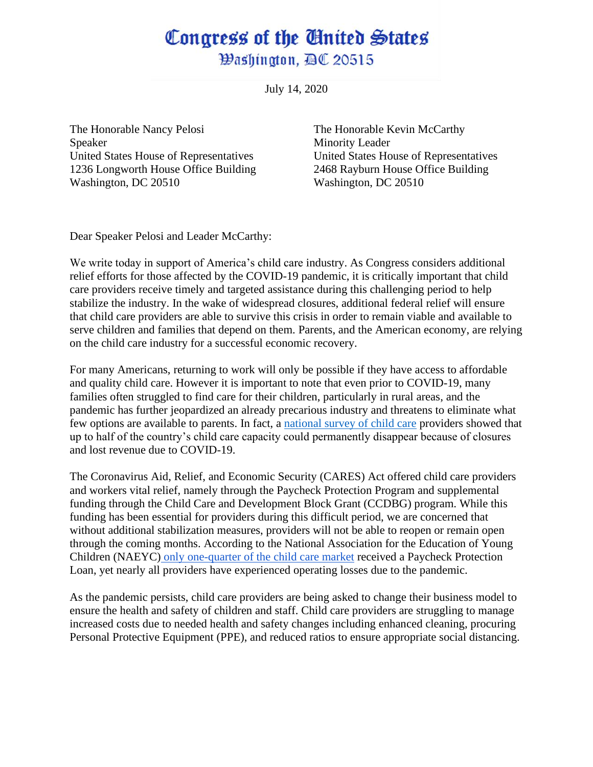## Congress of the Gnited States *Washington, BC 20515*

July 14, 2020

The Honorable Nancy Pelosi The Honorable Kevin McCarthy Speaker Minority Leader United States House of Representatives United States House of Representatives 1236 Longworth House Office Building 2468 Rayburn House Office Building Washington, DC 20510 Washington, DC 20510

Dear Speaker Pelosi and Leader McCarthy:

We write today in support of America's child care industry. As Congress considers additional relief efforts for those affected by the COVID-19 pandemic, it is critically important that child care providers receive timely and targeted assistance during this challenging period to help stabilize the industry. In the wake of widespread closures, additional federal relief will ensure that child care providers are able to survive this crisis in order to remain viable and available to serve children and families that depend on them. Parents, and the American economy, are relying on the child care industry for a successful economic recovery.

For many Americans, returning to work will only be possible if they have access to affordable and quality child care. However it is important to note that even prior to COVID-19, many families often struggled to find care for their children, particularly in rural areas, and the pandemic has further jeopardized an already precarious industry and threatens to eliminate what few options are available to parents. In fact, a [national survey of child care](https://bipartisanpolicy.org/blog/nationwide-survey-child-care-in-the-time-of-coronavirus/) providers showed that up to half of the country's child care capacity could permanently disappear because of closures and lost revenue due to COVID-19.

The Coronavirus Aid, Relief, and Economic Security (CARES) Act offered child care providers and workers vital relief, namely through the Paycheck Protection Program and supplemental funding through the Child Care and Development Block Grant (CCDBG) program. While this funding has been essential for providers during this difficult period, we are concerned that without additional stabilization measures, providers will not be able to reopen or remain open through the coming months. According to the National Association for the Education of Young Children (NAEYC) [only one-quarter of the child care market](https://www.naeyc.org/sites/default/files/globally-shared/downloads/PDFs/our-work/public-policy-advocacy/child_care_and_the_paycheck_protection_program.pdf) received a Paycheck Protection Loan, yet nearly all providers have experienced operating losses due to the pandemic.

As the pandemic persists, child care providers are being asked to change their business model to ensure the health and safety of children and staff. Child care providers are struggling to manage increased costs due to needed health and safety changes including enhanced cleaning, procuring Personal Protective Equipment (PPE), and reduced ratios to ensure appropriate social distancing.